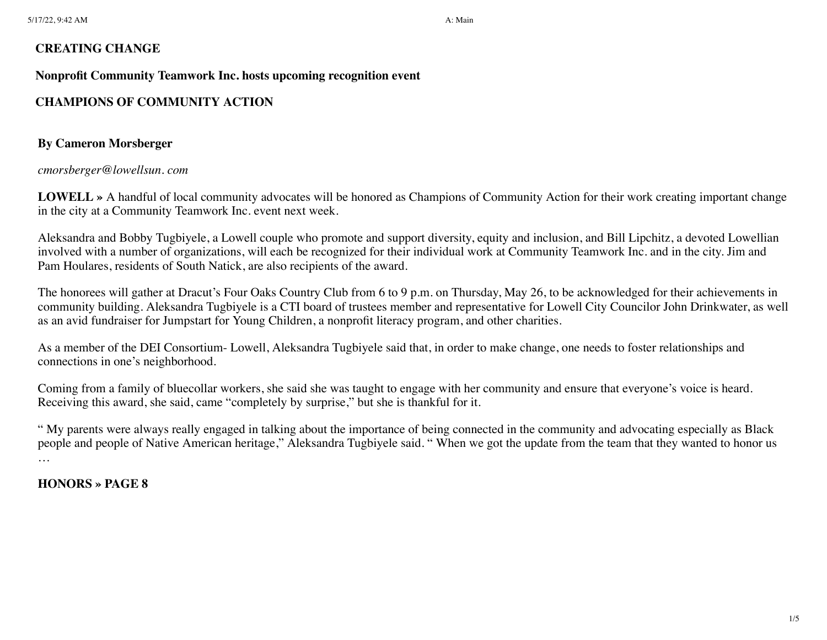### **CREATING CHANGE**

#### **Nonprofit Community Teamwork Inc. hosts upcoming recognition event**

# **CHAMPIONS OF COMMUNITY ACTION**

## **By Cameron Morsberger**

#### *cmorsberger@lowellsun. com*

**LOWELL »** A handful of local community advocates will be honored as Champions of Community Action for their work creating important change in the city at a Community Teamwork Inc. event next week.

Aleksandra and Bobby Tugbiyele, a Lowell couple who promote and support diversity, equity and inclusion, and Bill Lipchitz, a devoted Lowellian involved with a number of organizations, will each be recognized for their individual work at Community Teamwork Inc. and in the city. Jim and Pam Houlares, residents of South Natick, are also recipients of the award.

The honorees will gather at Dracut's Four Oaks Country Club from 6 to 9 p.m. on Thursday, May 26, to be acknowledged for their achievements in community building. Aleksandra Tugbiyele is a CTI board of trustees member and representative for Lowell City Councilor John Drinkwater, as well as an avid fundraiser for Jumpstart for Young Children, a nonprofit literacy program, and other charities.

As a member of the DEI Consortium- Lowell, Aleksandra Tugbiyele said that, in order to make change, one needs to foster relationships and connections in one's neighborhood.

Coming from a family of bluecollar workers, she said she was taught to engage with her community and ensure that everyone's voice is heard. Receiving this award, she said, came "completely by surprise," but she is thankful for it.

" My parents were always really engaged in talking about the importance of being connected in the community and advocating especially as Black people and people of Native American heritage," Aleksandra Tugbiyele said. " When we got the update from the team that they wanted to honor us …

**HONORS » PAGE 8**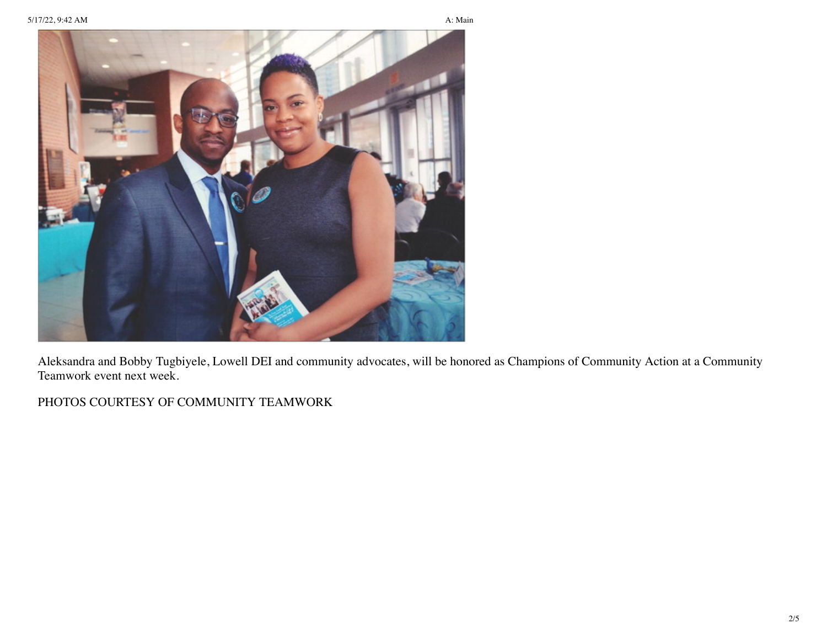

Aleksandra and Bobby Tugbiyele, Lowell DEI and community advocates, will be honored as Champions of Community Action at a Community Teamwork event next week.

PHOTOS COURTESY OF COMMUNITY TEAMWORK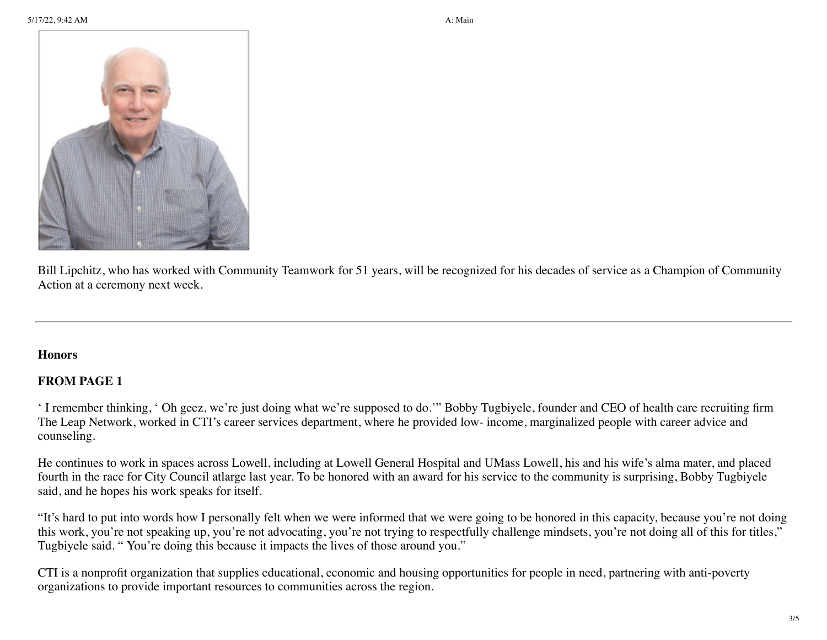5/17/22, 9:42 AM **A:** Main



Bill Lipchitz, who has worked with Community Teamwork for 51 years, will be recognized for his decades of service as a Champion of Community Action at a ceremony next week.

#### **Honors**

## **FROM PAGE 1**

' I remember thinking, ' Oh geez, we're just doing what we're supposed to do.'" Bobby Tugbiyele, founder and CEO of health care recruiting firm The Leap Network, worked in CTI's career services department, where he provided low- income, marginalized people with career advice and counseling.

He continues to work in spaces across Lowell, including at Lowell General Hospital and UMass Lowell, his and his wife's alma mater, and placed fourth in the race for City Council atlarge last year. To be honored with an award for his service to the community is surprising, Bobby Tugbiyele said, and he hopes his work speaks for itself.

"It's hard to put into words how I personally felt when we were informed that we were going to be honored in this capacity, because you're not doing this work, you're not speaking up, you're not advocating, you're not trying to respectfully challenge mindsets, you're not doing all of this for titles," Tugbiyele said. " You're doing this because it impacts the lives of those around you."

CTI is a nonprofit organization that supplies educational, economic and housing opportunities for people in need, partnering with anti-poverty organizations to provide important resources to communities across the region.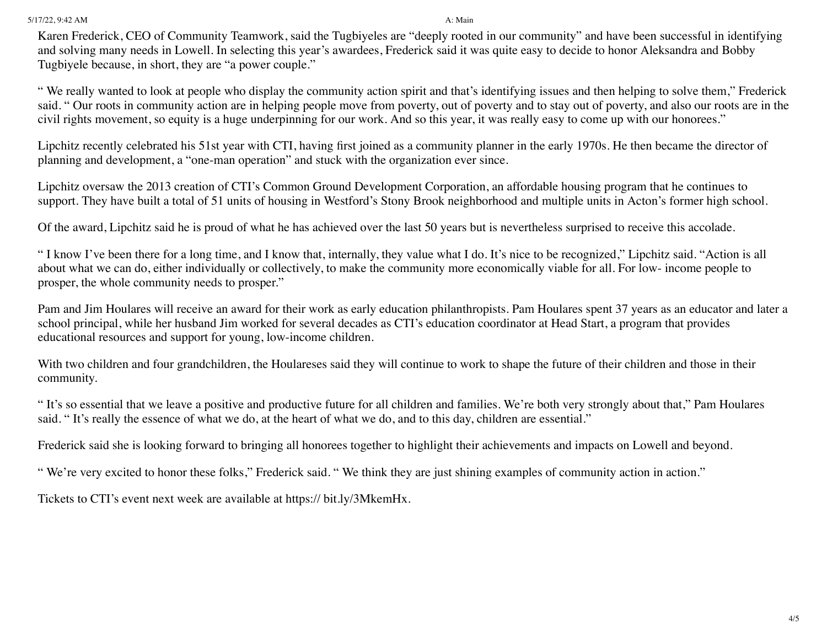5/17/22, 9:42 AM **A:** Main

Karen Frederick, CEO of Community Teamwork, said the Tugbiyeles are "deeply rooted in our community" and have been successful in identifying and solving many needs in Lowell. In selecting this year's awardees, Frederick said it was quite easy to decide to honor Aleksandra and Bobby Tugbiyele because, in short, they are "a power couple."

" We really wanted to look at people who display the community action spirit and that's identifying issues and then helping to solve them," Frederick said. " Our roots in community action are in helping people move from poverty, out of poverty and to stay out of poverty, and also our roots are in the civil rights movement, so equity is a huge underpinning for our work. And so this year, it was really easy to come up with our honorees."

Lipchitz recently celebrated his 51st year with CTI, having first joined as a community planner in the early 1970s. He then became the director of planning and development, a "one-man operation" and stuck with the organization ever since.

Lipchitz oversaw the 2013 creation of CTI's Common Ground Development Corporation, an affordable housing program that he continues to support. They have built a total of 51 units of housing in Westford's Stony Brook neighborhood and multiple units in Acton's former high school.

Of the award, Lipchitz said he is proud of what he has achieved over the last 50 years but is nevertheless surprised to receive this accolade.

" I know I've been there for a long time, and I know that, internally, they value what I do. It's nice to be recognized," Lipchitz said. "Action is all about what we can do, either individually or collectively, to make the community more economically viable for all. For low- income people to prosper, the whole community needs to prosper."

Pam and Jim Houlares will receive an award for their work as early education philanthropists. Pam Houlares spent 37 years as an educator and later a school principal, while her husband Jim worked for several decades as CTI's education coordinator at Head Start, a program that provides educational resources and support for young, low-income children.

With two children and four grandchildren, the Houlareses said they will continue to work to shape the future of their children and those in their community.

" It's so essential that we leave a positive and productive future for all children and families. We're both very strongly about that," Pam Houlares said. "It's really the essence of what we do, at the heart of what we do, and to this day, children are essential."

Frederick said she is looking forward to bringing all honorees together to highlight their achievements and impacts on Lowell and beyond.

" We're very excited to honor these folks," Frederick said. " We think they are just shining examples of community action in action."

Tickets to CTI's event next week are available at https:// bit.ly/3MkemHx.